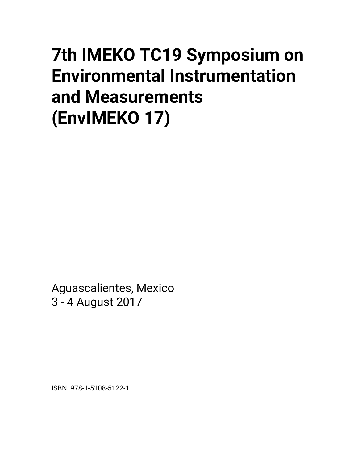## **7th IMEKO TC19 Symposium on Environmental Instrumentation and Measurements (EnvIMEKO 17)**

Aguascalientes, Mexico 3 - 4 August 2017

ISBN: 978-1-5108-5122-1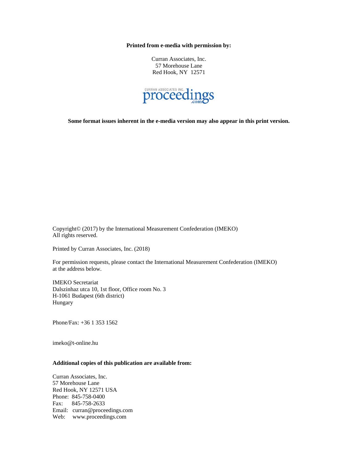**Printed from e-media with permission by:** 

Curran Associates, Inc. 57 Morehouse Lane Red Hook, NY 12571



**Some format issues inherent in the e-media version may also appear in this print version.** 

Copyright© (2017) by the International Measurement Confederation (IMEKO) All rights reserved.

Printed by Curran Associates, Inc. (2018)

For permission requests, please contact the International Measurement Confederation (IMEKO) at the address below.

IMEKO Secretariat Dalszinhaz utca 10, 1st floor, Office room No. 3 H-1061 Budapest (6th district) Hungary

Phone/Fax: +36 1 353 1562

imeko@t-online.hu

## **Additional copies of this publication are available from:**

Curran Associates, Inc. 57 Morehouse Lane Red Hook, NY 12571 USA Phone: 845-758-0400 Fax: 845-758-2633 Email: curran@proceedings.com Web: www.proceedings.com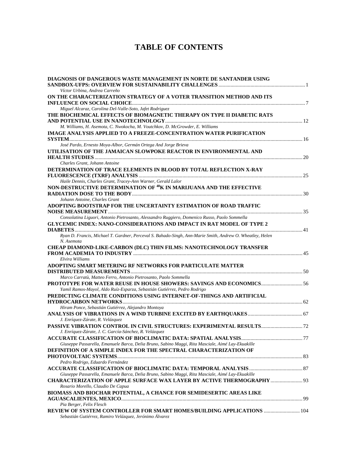## **TABLE OF CONTENTS**

| DIAGNOSIS OF DANGEROUS WASTE MANAGEMENT IN NORTE DE SANTANDER USING<br>Víctor Urbina, Andrea Carreño                                              |  |
|---------------------------------------------------------------------------------------------------------------------------------------------------|--|
| ON THE CHARACTERIZATION STRATEGY OF A VOTER TRANSITION METHOD AND ITS                                                                             |  |
|                                                                                                                                                   |  |
| Miguel Alcaraz, Carolina Del-Valle-Soto, Jafet Rodriguez<br>THE BIOCHEMICAL EFFECTS OF BIOMAGNETIC THERAPY ON TYPE II DIABETIC RATS               |  |
|                                                                                                                                                   |  |
| M. Williams, H. Asemota, C. Nwokocha, M. Voutchkov, D. McGrowder, E. Williams                                                                     |  |
| <b>IMAGE ANALYSIS APPLIED TO A FREEZE-CONCENTRATION WATER PURIFICATION</b>                                                                        |  |
|                                                                                                                                                   |  |
| José Pardo, Ernesto Moya-Albor, Germán Ortega And Jorge Brieva                                                                                    |  |
| UTILISATION OF THE JAMAICAN SLOWPOKE REACTOR IN ENVIRONMENTAL AND                                                                                 |  |
|                                                                                                                                                   |  |
| Charles Grant, Johann Antoine                                                                                                                     |  |
| DETERMINATION OF TRACE ELEMENTS IN BLOOD BY TOTAL REFLECTION X-RAY                                                                                |  |
| Haile Dennis, Charles Grant, Tracey-Ann Warner, Gerald Lalor                                                                                      |  |
| NON-DESTRUCTIVE DETERMINATION OF <sup>40</sup> K IN MARIJUANA AND THE EFFECTIVE                                                                   |  |
|                                                                                                                                                   |  |
| Johann Antoine, Charles Grant<br>ADOPTING BOOTSTRAP FOR THE UNCERTAINTY ESTIMATION OF ROAD TRAFFIC                                                |  |
|                                                                                                                                                   |  |
| Consolatina Liguori, Antonio Pietrosanto, Alessandro Ruggiero, Domenico Russo, Paolo Sommella                                                     |  |
| <b>GLYCEMIC INDEX: NANO-CONSIDERATIONS AND IMPACT IN RAT MODEL OF TYPE 2</b>                                                                      |  |
|                                                                                                                                                   |  |
| Ryan D. Francis, Michael T. Gardner, Perceval S. Bahado-Singh, Ann-Marie Smith, Andrew O. Wheatley, Helen<br>N. Asemota                           |  |
| <b>CHEAP DIAMOND-LIKE-CARBON (DLC) THIN FILMS: NANOTECHNOLOGY TRANSFER</b>                                                                        |  |
| Elvira Williams                                                                                                                                   |  |
| ADOPTING SMART METERING RF NETWORKS FOR PARTICULATE MATTER                                                                                        |  |
|                                                                                                                                                   |  |
| Marco Carratù, Matteo Ferro, Antonio Pietrosanto, Paolo Sommella                                                                                  |  |
| <b>PROTOTYPE FOR WATER REUSE IN HOUSE SHOWERS: SAVINGS AND ECONOMICS 56</b>                                                                       |  |
| Yamil Ramos-Mayol, Aldo Ruíz-Esparza, Sebastián Gutiérrez, Pedro Rodrigo<br>PREDICTING CLIMATE CONDITIONS USING INTERNET-OF-THINGS AND ARTIFICIAL |  |
|                                                                                                                                                   |  |
| Hiram Ponce, Sebastián Gutiérrez, Alejandro Montoya                                                                                               |  |
|                                                                                                                                                   |  |
| J. Enríquez-Zárate, R. Velázquez                                                                                                                  |  |
| PASSIVE VIBRATION CONTROL IN CIVIL STRUCTURES: EXPERIMENTAL RESULTS 72                                                                            |  |
| J. Enríquez-Zárate, J. C. García-Sánchez, R. Velázquez                                                                                            |  |
|                                                                                                                                                   |  |
| Giuseppe Passarella, Emanuele Barca, Delia Bruno, Sabino Maggi, Rita Masciale, Aimé Lay-Ekuakille                                                 |  |
| DEFINITION OF A SIMPLE INDEX FOR THE SPECTRAL CHARACTERIZATION OF                                                                                 |  |
|                                                                                                                                                   |  |
| Pedro Rodrigo, Eduardo Fernández                                                                                                                  |  |
| Giuseppe Passarella, Emanuele Barca, Delia Bruno, Sabino Maggi, Rita Masciale, Aimé Lay-Ekuakille                                                 |  |
| CHARACTERIZATION OF APPLE SURFACE WAX LAYER BY ACTIVE THERMOGRAPHY  93                                                                            |  |
| Rosario Morello, Claudio De Capua                                                                                                                 |  |
| BIOMASS AND BIOCHAR POTENTIAL, A CHANCE FOR SEMIDESERTIC AREAS LIKE                                                                               |  |
|                                                                                                                                                   |  |
| Pia Berger, Felix Flesch                                                                                                                          |  |
| REVIEW OF SYSTEM CONTROLLER FOR SMART HOMES/BUILDING APPLICATIONS  104<br>Sebastián Gutiérrez, Ramiro Velázquez, Jerónimo Álvarez                 |  |